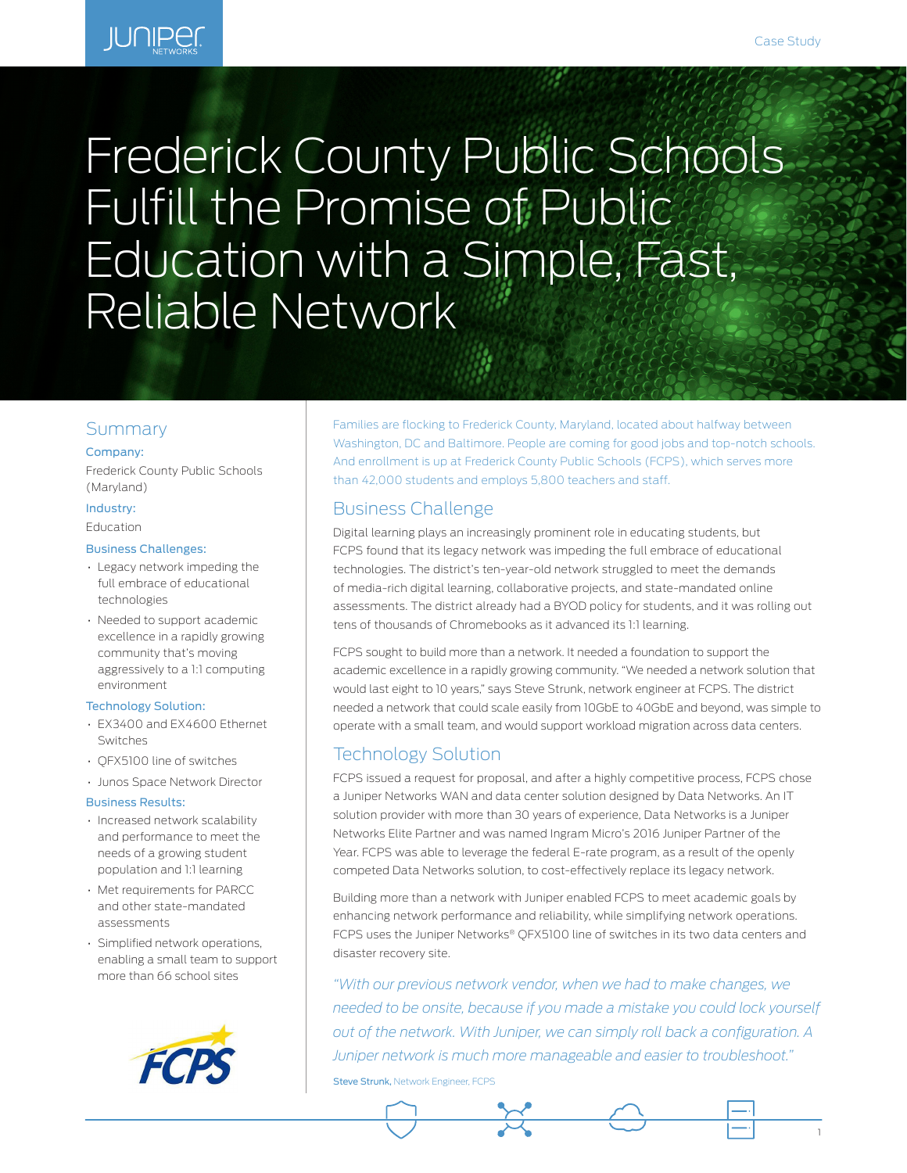1

# **JUNIPER**

# Frederick County Public Schools Fulfill the Promise of Public Education with a Simple, Fast, Reliable Network

# Summary

#### Company:

Frederick County Public Schools (Maryland)

# Industry:

Education

#### Business Challenges:

- Legacy network impeding the full embrace of educational technologies
- Needed to support academic excellence in a rapidly growing community that's moving aggressively to a 1:1 computing environment

#### Technology Solution:

- EX3400 and EX4600 Ethernet Switches
- QFX5100 line of switches
- Junos Space Network Director

#### Business Results:

- Increased network scalability and performance to meet the needs of a growing student population and 1:1 learning
- Met requirements for PARCC and other state-mandated assessments
- Simplified network operations, enabling a small team to support more than 66 school sites



Families are flocking to Frederick County, Maryland, located about halfway between Washington, DC and Baltimore. People are coming for good jobs and top-notch schools. And enrollment is up at Frederick County Public Schools (FCPS), which serves more than 42,000 students and employs 5,800 teachers and staff.

# Business Challenge

Digital learning plays an increasingly prominent role in educating students, but FCPS found that its legacy network was impeding the full embrace of educational technologies. The district's ten-year-old network struggled to meet the demands of media-rich digital learning, collaborative projects, and state-mandated online assessments. The district already had a BYOD policy for students, and it was rolling out tens of thousands of Chromebooks as it advanced its 1:1 learning.

FCPS sought to build more than a network. It needed a foundation to support the academic excellence in a rapidly growing community. "We needed a network solution that would last eight to 10 years," says Steve Strunk, network engineer at FCPS. The district needed a network that could scale easily from 10GbE to 40GbE and beyond, was simple to operate with a small team, and would support workload migration across data centers.

# Technology Solution

FCPS issued a request for proposal, and after a highly competitive process, FCPS chose a Juniper Networks WAN and data center solution designed by Data Networks. An IT solution provider with more than 30 years of experience, Data Networks is a Juniper Networks Elite Partner and was named Ingram Micro's 2016 Juniper Partner of the Year. FCPS was able to leverage the federal E-rate program, as a result of the openly competed Data Networks solution, to cost-effectively replace its legacy network.

Building more than a network with Juniper enabled FCPS to meet academic goals by enhancing network performance and reliability, while simplifying network operations. FCPS uses the Juniper Networks® QFX5100 line of switches in its two data centers and disaster recovery site.

*"With our previous network vendor, when we had to make changes, we needed to be onsite, because if you made a mistake you could lock yourself out of the network. With Juniper, we can simply roll back a configuration. A Juniper network is much more manageable and easier to troubleshoot."*

Steve Strunk, Network Engineer, FCPS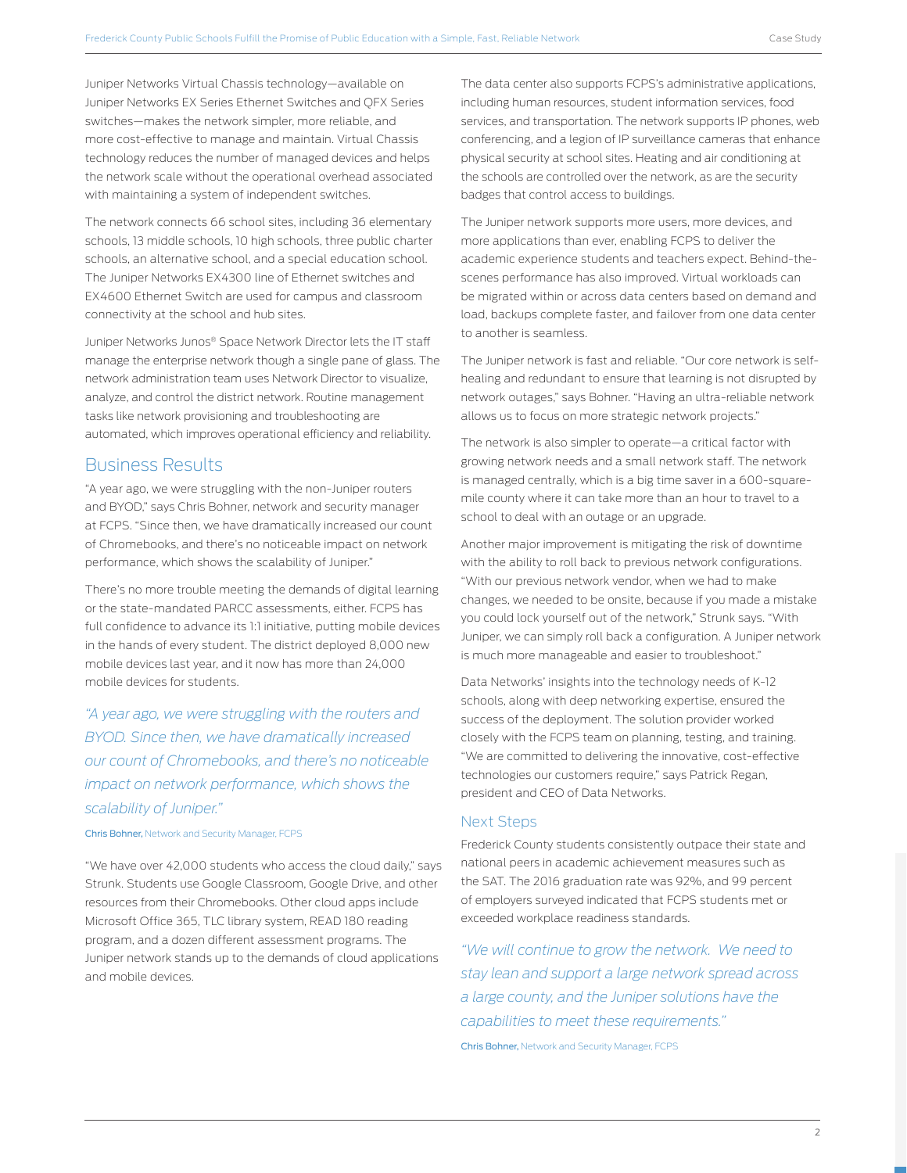Juniper Networks Virtual Chassis technology—available on Juniper Networks EX Series Ethernet Switches and QFX Series switches—makes the network simpler, more reliable, and more cost-effective to manage and maintain. Virtual Chassis technology reduces the number of managed devices and helps the network scale without the operational overhead associated with maintaining a system of independent switches.

The network connects 66 school sites, including 36 elementary schools, 13 middle schools, 10 high schools, three public charter schools, an alternative school, and a special education school. The Juniper Networks EX4300 line of Ethernet switches and EX4600 Ethernet Switch are used for campus and classroom connectivity at the school and hub sites.

Juniper Networks Junos® Space Network Director lets the IT staff manage the enterprise network though a single pane of glass. The network administration team uses Network Director to visualize, analyze, and control the district network. Routine management tasks like network provisioning and troubleshooting are automated, which improves operational efficiency and reliability.

#### Business Results

"A year ago, we were struggling with the non-Juniper routers and BYOD," says Chris Bohner, network and security manager at FCPS. "Since then, we have dramatically increased our count of Chromebooks, and there's no noticeable impact on network performance, which shows the scalability of Juniper."

There's no more trouble meeting the demands of digital learning or the state-mandated PARCC assessments, either. FCPS has full confidence to advance its 1:1 initiative, putting mobile devices in the hands of every student. The district deployed 8,000 new mobile devices last year, and it now has more than 24,000 mobile devices for students.

*"A year ago, we were struggling with the routers and BYOD. Since then, we have dramatically increased our count of Chromebooks, and there's no noticeable impact on network performance, which shows the scalability of Juniper."*

#### Chris Bohner, Network and Security Manager, FCPS

"We have over 42,000 students who access the cloud daily," says Strunk. Students use Google Classroom, Google Drive, and other resources from their Chromebooks. Other cloud apps include Microsoft Office 365, TLC library system, READ 180 reading program, and a dozen different assessment programs. The Juniper network stands up to the demands of cloud applications and mobile devices.

The data center also supports FCPS's administrative applications, including human resources, student information services, food services, and transportation. The network supports IP phones, web conferencing, and a legion of IP surveillance cameras that enhance physical security at school sites. Heating and air conditioning at the schools are controlled over the network, as are the security badges that control access to buildings.

The Juniper network supports more users, more devices, and more applications than ever, enabling FCPS to deliver the academic experience students and teachers expect. Behind-thescenes performance has also improved. Virtual workloads can be migrated within or across data centers based on demand and load, backups complete faster, and failover from one data center to another is seamless.

The Juniper network is fast and reliable. "Our core network is selfhealing and redundant to ensure that learning is not disrupted by network outages," says Bohner. "Having an ultra-reliable network allows us to focus on more strategic network projects."

The network is also simpler to operate—a critical factor with growing network needs and a small network staff. The network is managed centrally, which is a big time saver in a 600-squaremile county where it can take more than an hour to travel to a school to deal with an outage or an upgrade.

Another major improvement is mitigating the risk of downtime with the ability to roll back to previous network configurations. "With our previous network vendor, when we had to make changes, we needed to be onsite, because if you made a mistake you could lock yourself out of the network," Strunk says. "With Juniper, we can simply roll back a configuration. A Juniper network is much more manageable and easier to troubleshoot."

Data Networks' insights into the technology needs of K-12 schools, along with deep networking expertise, ensured the success of the deployment. The solution provider worked closely with the FCPS team on planning, testing, and training. "We are committed to delivering the innovative, cost-effective technologies our customers require," says Patrick Regan, president and CEO of Data Networks.

#### Next Steps

Frederick County students consistently outpace their state and national peers in academic achievement measures such as the SAT. The 2016 graduation rate was 92%, and 99 percent of employers surveyed indicated that FCPS students met or exceeded workplace readiness standards.

*"We will continue to grow the network. We need to stay lean and support a large network spread across a large county, and the Juniper solutions have the capabilities to meet these requirements."* Chris Bohner, Network and Security Manager, FCPS